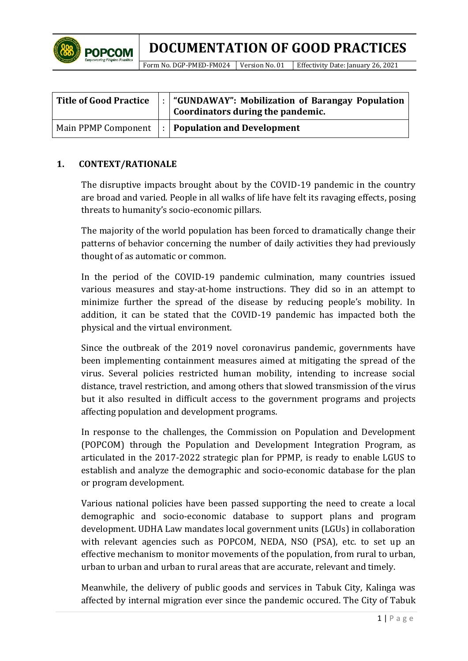

Form No. DGP-PMED-FM024 Version No. 01 Effectivity Date: January 26, 2021

| <b>Title of Good Practice</b> | $\vert \cdot \vert$ "GUNDAWAY": Mobilization of Barangay Population $\vert$<br>Coordinators during the pandemic. |
|-------------------------------|------------------------------------------------------------------------------------------------------------------|
|                               | Main PPMP Component $\vert \cdot \vert$ Population and Development                                               |

## **1. CONTEXT/RATIONALE**

The disruptive impacts brought about by the COVID-19 pandemic in the country are broad and varied. People in all walks of life have felt its ravaging effects, posing threats to humanity's socio-economic pillars.

The majority of the world population has been forced to dramatically change their patterns of behavior concerning the number of daily activities they had previously thought of as automatic or common.

In the period of the COVID-19 pandemic culmination, many countries issued various measures and stay-at-home instructions. They did so in an attempt to minimize further the spread of the disease by reducing people's mobility. In addition, it can be stated that the COVID-19 pandemic has impacted both the physical and the virtual environment.

Since the outbreak of the 2019 novel coronavirus pandemic, governments have been implementing containment measures aimed at mitigating the spread of the virus. Several policies restricted human mobility, intending to increase social distance, travel restriction, and among others that slowed transmission of the virus but it also resulted in difficult access to the government programs and projects affecting population and development programs.

In response to the challenges, the Commission on Population and Development (POPCOM) through the Population and Development Integration Program, as articulated in the 2017-2022 strategic plan for PPMP, is ready to enable LGUS to establish and analyze the demographic and socio-economic database for the plan or program development.

Various national policies have been passed supporting the need to create a local demographic and socio-economic database to support plans and program development. UDHA Law mandates local government units (LGUs) in collaboration with relevant agencies such as POPCOM, NEDA, NSO (PSA), etc. to set up an effective mechanism to monitor movements of the population, from rural to urban, urban to urban and urban to rural areas that are accurate, relevant and timely.

Meanwhile, the delivery of public goods and services in Tabuk City, Kalinga was affected by internal migration ever since the pandemic occured. The City of Tabuk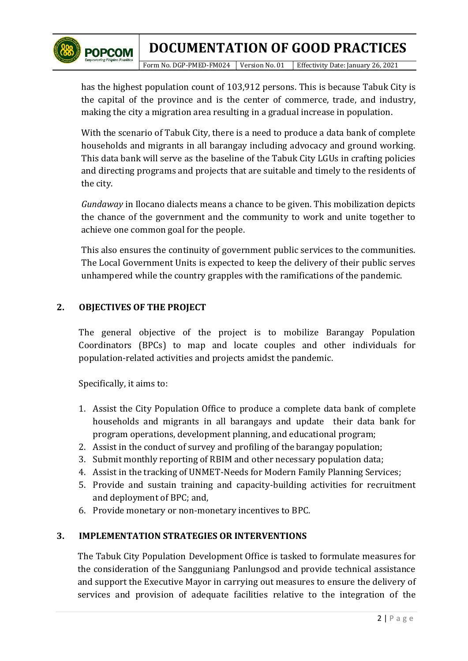

Form No. DGP-PMED-FM024 Version No. 01 Effectivity Date: January 26, 2021

has the highest population count of 103,912 persons. This is because Tabuk City is the capital of the province and is the center of commerce, trade, and industry, making the city a migration area resulting in a gradual increase in population.

With the scenario of Tabuk City, there is a need to produce a data bank of complete households and migrants in all barangay including advocacy and ground working. This data bank will serve as the baseline of the Tabuk City LGUs in crafting policies and directing programs and projects that are suitable and timely to the residents of the city.

*Gundaway* in Ilocano dialects means a chance to be given. This mobilization depicts the chance of the government and the community to work and unite together to achieve one common goal for the people.

This also ensures the continuity of government public services to the communities. The Local Government Units is expected to keep the delivery of their public serves unhampered while the country grapples with the ramifications of the pandemic.

# **2. OBJECTIVES OF THE PROJECT**

The general objective of the project is to mobilize Barangay Population Coordinators (BPCs) to map and locate couples and other individuals for population-related activities and projects amidst the pandemic.

Specifically, it aims to:

- 1. Assist the City Population Office to produce a complete data bank of complete households and migrants in all barangays and update their data bank for program operations, development planning, and educational program;
- 2. Assist in the conduct of survey and profiling of the barangay population;
- 3. Submit monthly reporting of RBIM and other necessary population data;
- 4. Assist in the tracking of UNMET-Needs for Modern Family Planning Services;
- 5. Provide and sustain training and capacity-building activities for recruitment and deployment of BPC; and,
- 6. Provide monetary or non-monetary incentives to BPC.

### **3. IMPLEMENTATION STRATEGIES OR INTERVENTIONS**

The Tabuk City Population Development Office is tasked to formulate measures for the consideration of the Sangguniang Panlungsod and provide technical assistance and support the Executive Mayor in carrying out measures to ensure the delivery of services and provision of adequate facilities relative to the integration of the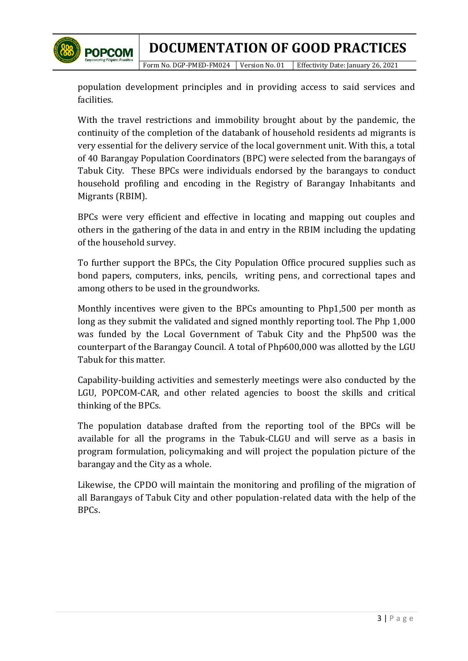

Form No. DGP-PMED-FM024 Version No. 01 Effectivity Date: January 26, 2021

population development principles and in providing access to said services and facilities.

With the travel restrictions and immobility brought about by the pandemic, the continuity of the completion of the databank of household residents ad migrants is very essential for the delivery service of the local government unit. With this, a total of 40 Barangay Population Coordinators (BPC) were selected from the barangays of Tabuk City. These BPCs were individuals endorsed by the barangays to conduct household profiling and encoding in the Registry of Barangay Inhabitants and Migrants (RBIM).

BPCs were very efficient and effective in locating and mapping out couples and others in the gathering of the data in and entry in the RBIM including the updating of the household survey.

To further support the BPCs, the City Population Office procured supplies such as bond papers, computers, inks, pencils, writing pens, and correctional tapes and among others to be used in the groundworks.

Monthly incentives were given to the BPCs amounting to Php1,500 per month as long as they submit the validated and signed monthly reporting tool. The Php 1,000 was funded by the Local Government of Tabuk City and the Php500 was the counterpart of the Barangay Council. A total of Php600,000 was allotted by the LGU Tabuk for this matter.

Capability-building activities and semesterly meetings were also conducted by the LGU, POPCOM-CAR, and other related agencies to boost the skills and critical thinking of the BPCs.

The population database drafted from the reporting tool of the BPCs will be available for all the programs in the Tabuk-CLGU and will serve as a basis in program formulation, policymaking and will project the population picture of the barangay and the City as a whole.

Likewise, the CPDO will maintain the monitoring and profiling of the migration of all Barangays of Tabuk City and other population-related data with the help of the BPCs.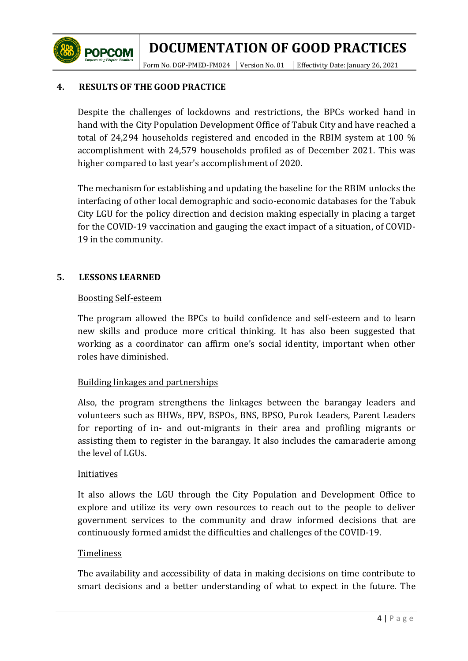Form No. DGP-PMED-FM024 Version No. 01 Effectivity Date: January 26, 2021

## **4. RESULTS OF THE GOOD PRACTICE**

**POPCOM** 

Despite the challenges of lockdowns and restrictions, the BPCs worked hand in hand with the City Population Development Office of Tabuk City and have reached a total of 24,294 households registered and encoded in the RBIM system at 100 % accomplishment with 24,579 households profiled as of December 2021. This was higher compared to last year's accomplishment of 2020.

The mechanism for establishing and updating the baseline for the RBIM unlocks the interfacing of other local demographic and socio-economic databases for the Tabuk City LGU for the policy direction and decision making especially in placing a target for the COVID-19 vaccination and gauging the exact impact of a situation, of COVID-19 in the community.

### **5. LESSONS LEARNED**

#### Boosting Self-esteem

The program allowed the BPCs to build confidence and self-esteem and to learn new skills and produce more critical thinking. It has also been suggested that working as a coordinator can affirm one's social identity, important when other roles have diminished.

### Building linkages and partnerships

Also, the program strengthens the linkages between the barangay leaders and volunteers such as BHWs, BPV, BSPOs, BNS, BPSO, Purok Leaders, Parent Leaders for reporting of in- and out-migrants in their area and profiling migrants or assisting them to register in the barangay. It also includes the camaraderie among the level of LGUs.

#### **Initiatives**

It also allows the LGU through the City Population and Development Office to explore and utilize its very own resources to reach out to the people to deliver government services to the community and draw informed decisions that are continuously formed amidst the difficulties and challenges of the COVID-19.

#### Timeliness

The availability and accessibility of data in making decisions on time contribute to smart decisions and a better understanding of what to expect in the future. The